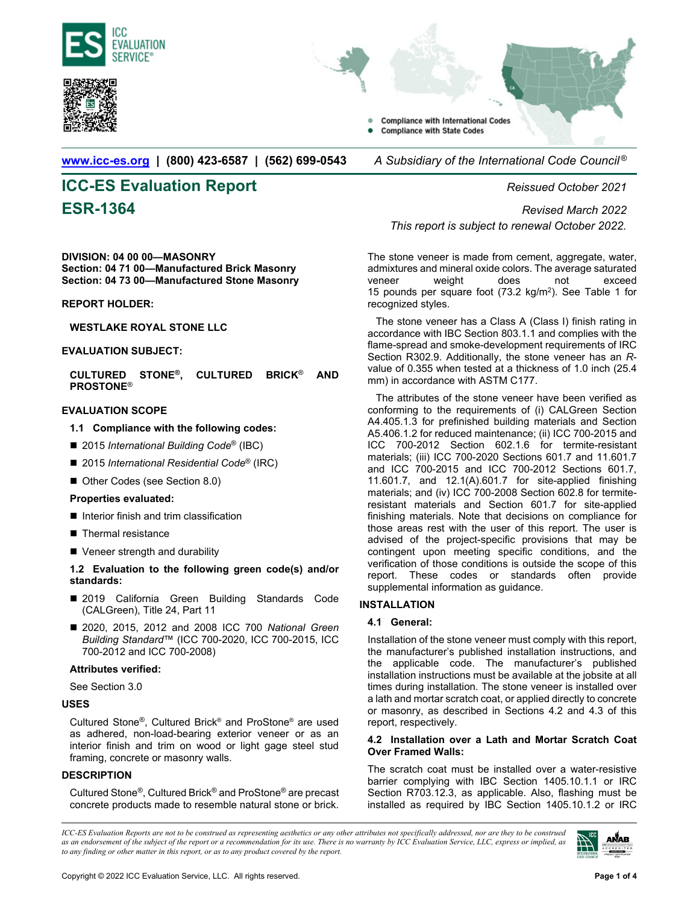



**Compliance with International Codes Compliance with State Codes** 

**www.icc-es.org | (800) 423-6587 | (562) 699-0543** *A Subsidiary of the International Code Council ®* 

# **ICC-ES Evaluation Report** *Reissued October 2021*

**DIVISION: 04 00 00—MASONRY Section: 04 71 00—Manufactured Brick Masonry Section: 04 73 00—Manufactured Stone Masonry** 

#### **REPORT HOLDER:**

**WESTLAKE ROYAL STONE LLC** 

#### **EVALUATION SUBJECT:**

**CULTURED STONE®, CULTURED BRICK**® **AND PROSTONE**®

#### **EVALUATION SCOPE**

- **1.1 Compliance with the following codes:**
- 2015 *International Building Code<sup>®</sup>* (IBC)
- 2015 *International Residential Code<sup>®</sup>* (IRC)
- Other Codes (see Section 8.0)

#### **Properties evaluated:**

- Interior finish and trim classification
- Thermal resistance
- Veneer strength and durability

#### **1.2 Evaluation to the following green code(s) and/or standards:**

- 2019 California Green Building Standards Code (CALGreen), Title 24, Part 11
- 2020, 2015, 2012 and 2008 ICC 700 *National Green Building Standard*™ (ICC 700-2020, ICC 700-2015, ICC 700-2012 and ICC 700-2008)

#### **Attributes verified:**

See Section 3.0

#### **USES**

Cultured Stone®, Cultured Brick® and ProStone® are used as adhered, non-load-bearing exterior veneer or as an interior finish and trim on wood or light gage steel stud framing, concrete or masonry walls.

#### **DESCRIPTION**

Cultured Stone®, Cultured Brick® and ProStone® are precast concrete products made to resemble natural stone or brick.

**ESR-1364** *Revised March 2022 This report is subject to renewal October 2022.*

> The stone veneer is made from cement, aggregate, water, admixtures and mineral oxide colors. The average saturated veneer weight does not exceed 15 pounds per square foot  $(73.2 \text{ kg/m}^2)$ . See Table 1 for recognized styles.

> The stone veneer has a Class A (Class I) finish rating in accordance with IBC Section 803.1.1 and complies with the flame-spread and smoke-development requirements of IRC Section R302.9. Additionally, the stone veneer has an *R*value of 0.355 when tested at a thickness of 1.0 inch (25.4 mm) in accordance with ASTM C177.

> The attributes of the stone veneer have been verified as conforming to the requirements of (i) CALGreen Section A4.405.1.3 for prefinished building materials and Section A5.406.1.2 for reduced maintenance; (ii) ICC 700-2015 and ICC 700-2012 Section 602.1.6 for termite-resistant materials; (iii) ICC 700-2020 Sections 601.7 and 11.601.7 and ICC 700-2015 and ICC 700-2012 Sections 601.7, 11.601.7, and 12.1(A).601.7 for site-applied finishing materials; and (iv) ICC 700-2008 Section 602.8 for termiteresistant materials and Section 601.7 for site-applied finishing materials. Note that decisions on compliance for those areas rest with the user of this report. The user is advised of the project-specific provisions that may be contingent upon meeting specific conditions, and the verification of those conditions is outside the scope of this report. These codes or standards often provide supplemental information as guidance.

#### **INSTALLATION**

#### **4.1 General:**

Installation of the stone veneer must comply with this report, the manufacturer's published installation instructions, and the applicable code. The manufacturer's published installation instructions must be available at the jobsite at all times during installation. The stone veneer is installed over a lath and mortar scratch coat, or applied directly to concrete or masonry, as described in Sections 4.2 and 4.3 of this report, respectively.

#### **4.2 Installation over a Lath and Mortar Scratch Coat Over Framed Walls:**

The scratch coat must be installed over a water-resistive barrier complying with IBC Section 1405.10.1.1 or IRC Section R703.12.3, as applicable. Also, flashing must be installed as required by IBC Section 1405.10.1.2 or IRC

*ICC-ES Evaluation Reports are not to be construed as representing aesthetics or any other attributes not specifically addressed, nor are they to be construed as an endorsement of the subject of the report or a recommendation for its use. There is no warranty by ICC Evaluation Service, LLC, express or implied, as to any finding or other matter in this report, or as to any product covered by the report.*

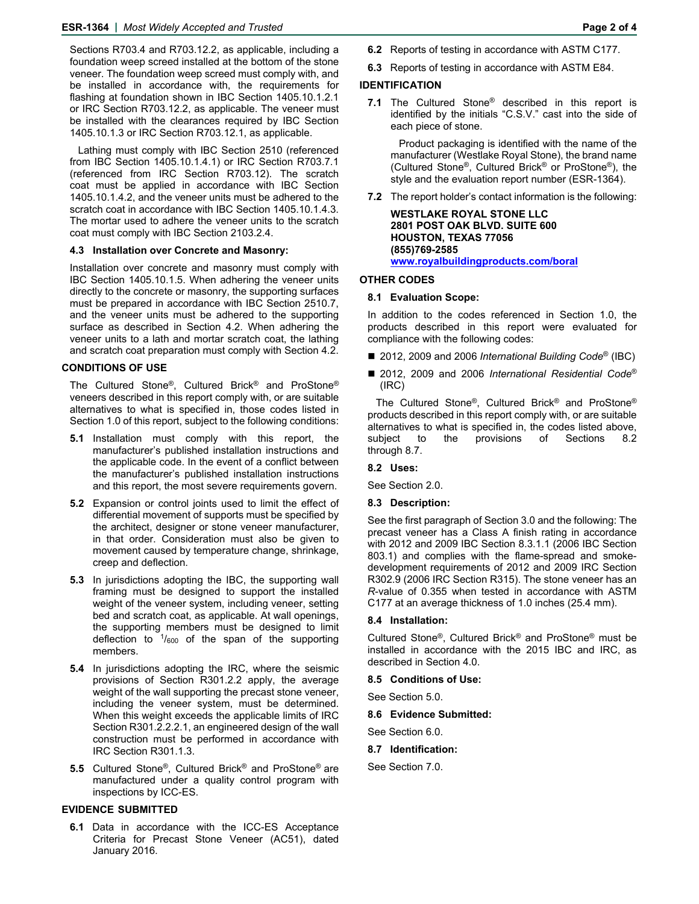Sections R703.4 and R703.12.2, as applicable, including a foundation weep screed installed at the bottom of the stone veneer. The foundation weep screed must comply with, and be installed in accordance with, the requirements for flashing at foundation shown in IBC Section 1405.10.1.2.1 or IRC Section R703.12.2, as applicable. The veneer must be installed with the clearances required by IBC Section 1405.10.1.3 or IRC Section R703.12.1, as applicable.

Lathing must comply with IBC Section 2510 (referenced from IBC Section 1405.10.1.4.1) or IRC Section R703.7.1 (referenced from IRC Section R703.12). The scratch coat must be applied in accordance with IBC Section 1405.10.1.4.2, and the veneer units must be adhered to the scratch coat in accordance with IBC Section 1405.10.1.4.3. The mortar used to adhere the veneer units to the scratch coat must comply with IBC Section 2103.2.4.

#### **4.3 Installation over Concrete and Masonry:**

Installation over concrete and masonry must comply with IBC Section 1405.10.1.5. When adhering the veneer units directly to the concrete or masonry, the supporting surfaces must be prepared in accordance with IBC Section 2510.7, and the veneer units must be adhered to the supporting surface as described in Section 4.2. When adhering the veneer units to a lath and mortar scratch coat, the lathing and scratch coat preparation must comply with Section 4.2.

#### **CONDITIONS OF USE**

The Cultured Stone®, Cultured Brick® and ProStone® veneers described in this report comply with, or are suitable alternatives to what is specified in, those codes listed in Section 1.0 of this report, subject to the following conditions:

- **5.1** Installation must comply with this report, the manufacturer's published installation instructions and the applicable code. In the event of a conflict between the manufacturer's published installation instructions and this report, the most severe requirements govern.
- **5.2** Expansion or control joints used to limit the effect of differential movement of supports must be specified by the architect, designer or stone veneer manufacturer, in that order. Consideration must also be given to movement caused by temperature change, shrinkage, creep and deflection.
- **5.3** In jurisdictions adopting the IBC, the supporting wall framing must be designed to support the installed weight of the veneer system, including veneer, setting bed and scratch coat, as applicable. At wall openings, the supporting members must be designed to limit deflection to  $\frac{1}{600}$  of the span of the supporting members.
- **5.4** In jurisdictions adopting the IRC, where the seismic provisions of Section R301.2.2 apply, the average weight of the wall supporting the precast stone veneer, including the veneer system, must be determined. When this weight exceeds the applicable limits of IRC Section R301.2.2.2.1, an engineered design of the wall construction must be performed in accordance with IRC Section R301.1.3.
- **5.5** Cultured Stone®, Cultured Brick® and ProStone® are manufactured under a quality control program with inspections by ICC-ES.

### **EVIDENCE SUBMITTED**

**6.1** Data in accordance with the ICC-ES Acceptance Criteria for Precast Stone Veneer (AC51), dated January 2016.

- **6.2** Reports of testing in accordance with ASTM C177.
- **6.3** Reports of testing in accordance with ASTM E84.

#### **IDENTIFICATION**

**7.1** The Cultured Stone® described in this report is identified by the initials "C.S.V." cast into the side of each piece of stone.

Product packaging is identified with the name of the manufacturer (Westlake Royal Stone), the brand name (Cultured Stone®, Cultured Brick® or ProStone®), the style and the evaluation report number (ESR-1364).

**7.2** The report holder's contact information is the following:

**WESTLAKE ROYAL STONE LLC 2801 POST OAK BLVD. SUITE 600 HOUSTON, TEXAS 77056 (855)769-2585 www.royalbuildingproducts.com/boral**

#### **OTHER CODES**

#### **8.1 Evaluation Scope:**

In addition to the codes referenced in Section 1.0, the products described in this report were evaluated for compliance with the following codes:

- 2012, 2009 and 2006 *International Building Code®* (IBC)
- 2012, 2009 and 2006 *International Residential Code®* (IRC)

The Cultured Stone®, Cultured Brick® and ProStone® products described in this report comply with, or are suitable alternatives to what is specified in, the codes listed above, subject to the provisions of Sections 8.2 through 8.7.

#### **8.2 Uses:**

See Section 2.0.

#### **8.3 Description:**

See the first paragraph of Section 3.0 and the following: The precast veneer has a Class A finish rating in accordance with 2012 and 2009 IBC Section 8.3.1.1 (2006 IBC Section 803.1) and complies with the flame-spread and smokedevelopment requirements of 2012 and 2009 IRC Section R302.9 (2006 IRC Section R315). The stone veneer has an *R*-value of 0.355 when tested in accordance with ASTM C177 at an average thickness of 1.0 inches (25.4 mm).

#### **8.4 Installation:**

Cultured Stone®, Cultured Brick® and ProStone® must be installed in accordance with the 2015 IBC and IRC, as described in Section 4.0.

#### **8.5 Conditions of Use:**

See Section 5.0.

#### **8.6 Evidence Submitted:**

See Section 6.0.

**8.7 Identification:** 

See Section 7.0.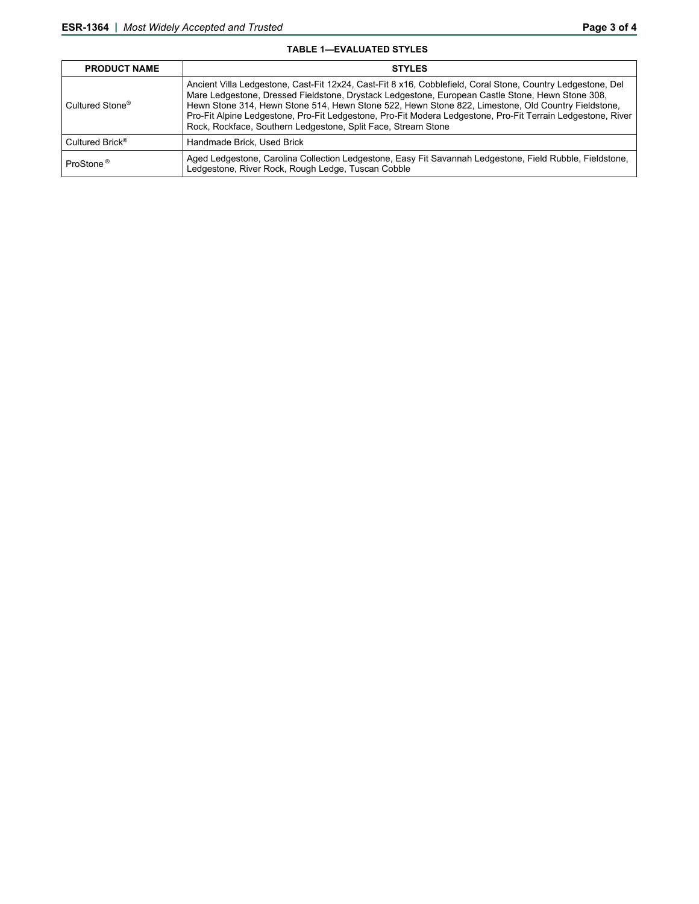#### **TABLE 1—EVALUATED STYLES**

| <b>PRODUCT NAME</b>         | <b>STYLES</b>                                                                                                                                                                                                                                                                                                                                                                                                                                                                                         |
|-----------------------------|-------------------------------------------------------------------------------------------------------------------------------------------------------------------------------------------------------------------------------------------------------------------------------------------------------------------------------------------------------------------------------------------------------------------------------------------------------------------------------------------------------|
| Cultured Stone <sup>®</sup> | Ancient Villa Ledgestone, Cast-Fit 12x24, Cast-Fit 8 x16, Cobblefield, Coral Stone, Country Ledgestone, Del<br>Mare Ledgestone, Dressed Fieldstone, Drystack Ledgestone, European Castle Stone, Hewn Stone 308,<br>Hewn Stone 314, Hewn Stone 514, Hewn Stone 522, Hewn Stone 822, Limestone, Old Country Fieldstone,<br>Pro-Fit Alpine Ledgestone, Pro-Fit Ledgestone, Pro-Fit Modera Ledgestone, Pro-Fit Terrain Ledgestone, River<br>Rock, Rockface, Southern Ledgestone, Split Face, Stream Stone |
| Cultured Brick <sup>®</sup> | Handmade Brick, Used Brick                                                                                                                                                                                                                                                                                                                                                                                                                                                                            |
| ProStone <sup>®</sup>       | Aged Ledgestone, Carolina Collection Ledgestone, Easy Fit Savannah Ledgestone, Field Rubble, Fieldstone,<br>Ledgestone, River Rock, Rough Ledge, Tuscan Cobble                                                                                                                                                                                                                                                                                                                                        |